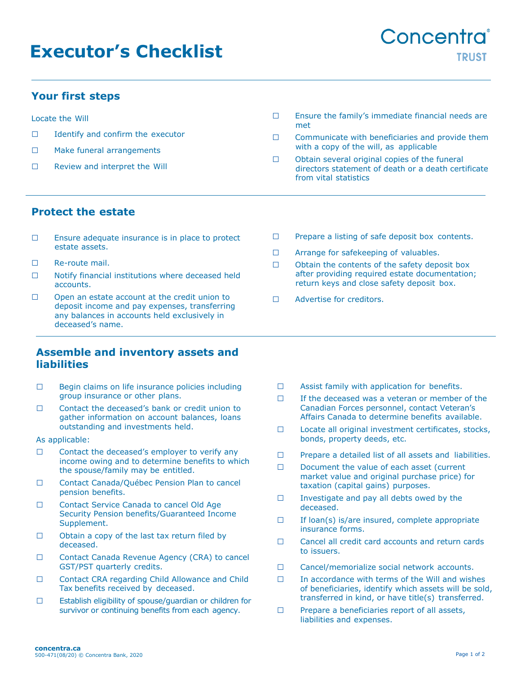# **Executor's Checklist**

### **Your first steps**

Locate the Will

- □ Identify and confirm the executor
- □ Make funeral arrangements
- □ Review and interpret the Will
- □ Ensure the family's immediate financial needs are met
- $\Box$  Communicate with beneficiaries and provide them with a copy of the will, as applicable
- □ Obtain several original copies of the funeral directors statement of death or a death certificate from vital statistics

### **Protect the estate**

- □ Ensure adequate insurance is in place to protect estate assets.
- □ Re-route mail.
- □ Notify financial institutions where deceased held accounts.
- □ Open an estate account at the credit union to deposit income and pay expenses, transferring any balances in accounts held exclusively in deceased's name.

#### **Assemble and inventory assets and liabilities**

- □ Begin claims on life insurance policies including group insurance or other plans.
- □ Contact the deceased's bank or credit union to gather information on account balances, loans outstanding and investments held.

As applicable:

- □ Contact the deceased's employer to verify any income owing and to determine benefits to which the spouse/family may be entitled.
- □ Contact Canada/Ouébec Pension Plan to cancel pension benefits.
- □ Contact Service Canada to cancel Old Age Security Pension benefits/Guaranteed Income Supplement.
- $\Box$  Obtain a copy of the last tax return filed by deceased.
- □ Contact Canada Revenue Agency (CRA) to cancel GST/PST quarterly credits.
- □ Contact CRA regarding Child Allowance and Child Tax benefits received by deceased.
- □ Establish eligibility of spouse/guardian or children for survivor or continuing benefits from each agency.
- □ Prepare a listing of safe deposit box contents.
- □ Arrange for safekeeping of valuables.
- □ Obtain the contents of the safety deposit box after providing required estate documentation; return keys and close safety deposit box.
- □ Advertise for creditors.

- □ Assist family with application for benefits.
- $\Box$  If the deceased was a veteran or member of the Canadian Forces personnel, contact Veteran's Affairs Canada to determine benefits available.
- □ Locate all original investment certificates, stocks, bonds, property deeds, etc.
- □ Prepare a detailed list of all assets and liabilities.
- □ Document the value of each asset (current market value and original purchase price) for taxation (capital gains) purposes.
- $\Box$  Investigate and pay all debts owed by the deceased.
- $\Box$  If loan(s) is/are insured, complete appropriate insurance forms.
- □ Cancel all credit card accounts and return cards to issuers.
- □ Cancel/memorialize social network accounts.
- $\Box$  In accordance with terms of the Will and wishes of beneficiaries, identify which assets will be sold, transferred in kind, or have title(s) transferred.
- □ Prepare a beneficiaries report of all assets, liabilities and expenses.